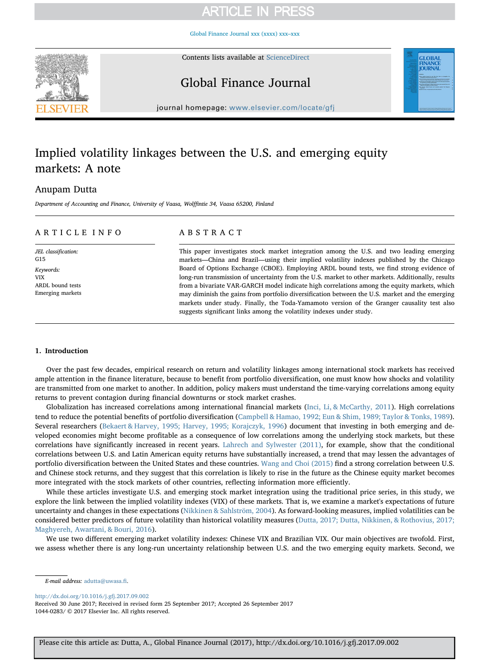## **ARTICLE IN PRESS**

[Global Finance Journal xxx \(xxxx\) xxx–xxx](http://dx.doi.org/10.1016/j.gfj.2017.09.002)

Contents lists available at [ScienceDirect](http://www.sciencedirect.com/science/journal/10440283)



Global Finance Journal

journal homepage: [www.elsevier.com/locate/gfj](https://www.elsevier.com/locate/gfj)

## Implied volatility linkages between the U.S. and emerging equity markets: A note

## Anupam Dutta

Department of Accounting and Finance, University of Vaasa, Wolffintie 34, Vaasa 65200, Finland

## ARTICLE INFO

JEL classification: G15 Keywords: VIX ARDL bound tests Emerging markets

## ABSTRACT

This paper investigates stock market integration among the U.S. and two leading emerging markets—China and Brazil—using their implied volatility indexes published by the Chicago Board of Options Exchange (CBOE). Employing ARDL bound tests, we find strong evidence of long-run transmission of uncertainty from the U.S. market to other markets. Additionally, results from a bivariate VAR-GARCH model indicate high correlations among the equity markets, which may diminish the gains from portfolio diversification between the U.S. market and the emerging markets under study. Finally, the Toda-Yamamoto version of the Granger causality test also suggests significant links among the volatility indexes under study.

### 1. Introduction

Over the past few decades, empirical research on return and volatility linkages among international stock markets has received ample attention in the finance literature, because to benefit from portfolio diversification, one must know how shocks and volatility are transmitted from one market to another. In addition, policy makers must understand the time-varying correlations among equity returns to prevent contagion during financial downturns or stock market crashes.

Globalization has increased correlations among international financial markets (Inci, Li, & McCarthy, 2011). High correlations tend to reduce the potential benefits of portfolio diversification (Campbell & Hamao, 1992; Eun & Shim, 1989; Taylor & Tonks, 1989). Several researchers (Bekaert & Harvey, 1995; Harvey, 1995; Korajczyk, 1996) document that investing in both emerging and developed economies might become profitable as a consequence of low correlations among the underlying stock markets, but these correlations have significantly increased in recent years. Lahrech and Sylwester (2011), for example, show that the conditional correlations between U.S. and Latin American equity returns have substantially increased, a trend that may lessen the advantages of portfolio diversification between the United States and these countries. Wang and Choi (2015) find a strong correlation between U.S. and Chinese stock returns, and they suggest that this correlation is likely to rise in the future as the Chinese equity market becomes more integrated with the stock markets of other countries, reflecting information more efficiently.

While these articles investigate U.S. and emerging stock market integration using the traditional price series, in this study, we explore the link between the implied volatility indexes (VIX) of these markets. That is, we examine a market's expectations of future uncertainty and changes in these expectations (Nikkinen & Sahlström, 2004). As forward-looking measures, implied volatilities can be considered better predictors of future volatility than historical volatility measures (Dutta, 2017; Dutta, Nikkinen, & Rothovius, 2017; Maghyereh, Awartani, & Bouri, 2016).

We use two different emerging market volatility indexes: Chinese VIX and Brazilian VIX. Our main objectives are twofold. First, we assess whether there is any long-run uncertainty relationship between U.S. and the two emerging equity markets. Second, we

<http://dx.doi.org/10.1016/j.gfj.2017.09.002>

Received 30 June 2017; Received in revised form 25 September 2017; Accepted 26 September 2017 1044-0283/ © 2017 Elsevier Inc. All rights reserved.

E-mail address: [adutta@uwasa.](mailto:adutta@uwasa.fi)fi.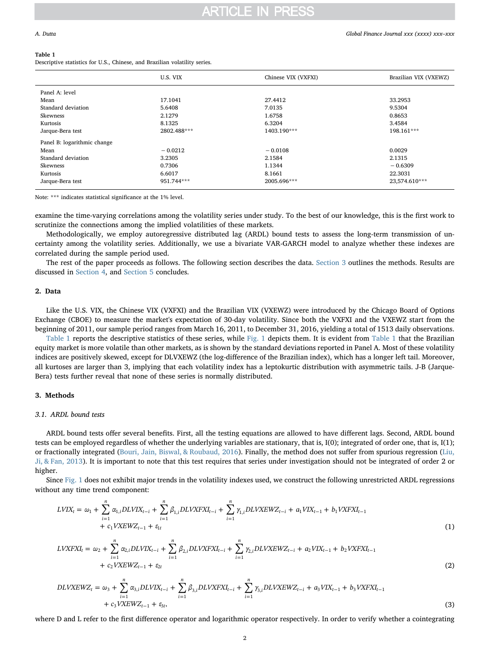## **ARTICLE IN PRESS**

#### Table 1

Descriptive statistics for U.S., Chinese, and Brazilian volatility series.

|                             | U.S. VIX    | Chinese VIX (VXFXI) | Brazilian VIX (VXEWZ) |
|-----------------------------|-------------|---------------------|-----------------------|
| Panel A: level              |             |                     |                       |
| Mean                        | 17.1041     | 27.4412             | 33.2953               |
| Standard deviation          | 5.6408      | 7.0135              | 9.5304                |
| Skewness                    | 2.1279      | 1.6758              | 0.8653                |
| Kurtosis                    | 8.1325      | 6.3204              | 3.4584                |
| Jarque-Bera test            | 2802.488*** | 1403.190***         | 198.161***            |
| Panel B: logarithmic change |             |                     |                       |
| Mean                        | $-0.0212$   | $-0.0108$           | 0.0029                |
| Standard deviation          | 3.2305      | 2.1584              | 2.1315                |
| Skewness                    | 0.7306      | 1.1344              | $-0.6309$             |
| Kurtosis                    | 6.6017      | 8.1661              | 22.3031               |
| Jarque-Bera test            | 951.744***  | 2005.696***         | 23,574.610***         |

Note: \*\*\* indicates statistical significance at the 1% level.

examine the time-varying correlations among the volatility series under study. To the best of our knowledge, this is the first work to scrutinize the connections among the implied volatilities of these markets.

Methodologically, we employ autoregressive distributed lag (ARDL) bound tests to assess the long-term transmission of uncertainty among the volatility series. Additionally, we use a bivariate VAR-GARCH model to analyze whether these indexes are correlated during the sample period used.

The rest of the paper proceeds as follows. The following section describes the data. Section 3 outlines the methods. Results are discussed in Section 4, and Section 5 concludes.

## 2. Data

Like the U.S. VIX, the Chinese VIX (VXFXI) and the Brazilian VIX (VXEWZ) were introduced by the Chicago Board of Options Exchange (CBOE) to measure the market's expectation of 30-day volatility. Since both the VXFXI and the VXEWZ start from the beginning of 2011, our sample period ranges from March 16, 2011, to December 31, 2016, yielding a total of 1513 daily observations.

Table 1 reports the descriptive statistics of these series, while Fig. 1 depicts them. It is evident from Table 1 that the Brazilian equity market is more volatile than other markets, as is shown by the standard deviations reported in Panel A. Most of these volatility indices are positively skewed, except for DLVXEWZ (the log-difference of the Brazilian index), which has a longer left tail. Moreover, all kurtoses are larger than 3, implying that each volatility index has a leptokurtic distribution with asymmetric tails. J-B (Jarque-Bera) tests further reveal that none of these series is normally distributed.

### 3. Methods

## 3.1. ARDL bound tests

ARDL bound tests offer several benefits. First, all the testing equations are allowed to have different lags. Second, ARDL bound tests can be employed regardless of whether the underlying variables are stationary, that is, I(0); integrated of order one, that is, I(1); or fractionally integrated (Bouri, Jain, Biswal, & Roubaud, 2016). Finally, the method does not suffer from spurious regression (Liu, Ji, & Fan, 2013). It is important to note that this test requires that series under investigation should not be integrated of order 2 or higher.

Since Fig. 1 does not exhibit major trends in the volatility indexes used, we construct the following unrestricted ARDL regressions without any time trend component:

$$
LVIX_t = \omega_1 + \sum_{i=1}^n \alpha_{1,i} DLVIX_{t-i} + \sum_{i=1}^n \beta_{1,i} DLVXFXI_{t-i} + \sum_{i=1}^n \gamma_{1,i} DLVXEWZ_{t-i} + a_1VIX_{t-1} + b_1VXFXI_{t-1} + c_1VXEWZ_{t-1} + \epsilon_{1t}
$$
\n(1)

$$
LVXFXI_t = \omega_2 + \sum_{i=1}^n \alpha_{2,i} DLVIX_{t-i} + \sum_{i=1}^n \beta_{2,i} DLVXFXI_{t-i} + \sum_{i=1}^n \gamma_{2,i} DLVXEWZ_{t-i} + a_2 VIX_{t-1} + b_2 VXFXI_{t-1} + c_2 VXEWZ_{t-1} + \epsilon_{2t}
$$
\n(2)

$$
DLVXEWZ_{t} = \omega_{3} + \sum_{i=1}^{n} \alpha_{3,i} DLVIX_{t-i} + \sum_{i=1}^{n} \beta_{3,i} DLVXFXI_{t-i} + \sum_{i=1}^{n} \gamma_{3,i} DLVXEWZ_{t-i} + a_{3}VIX_{t-1} + b_{3}VXFXI_{t-1} + c_{3}VXEWZ_{t-1} + c_{3t},
$$
\n(3)

where D and L refer to the first difference operator and logarithmic operator respectively. In order to verify whether a cointegrating